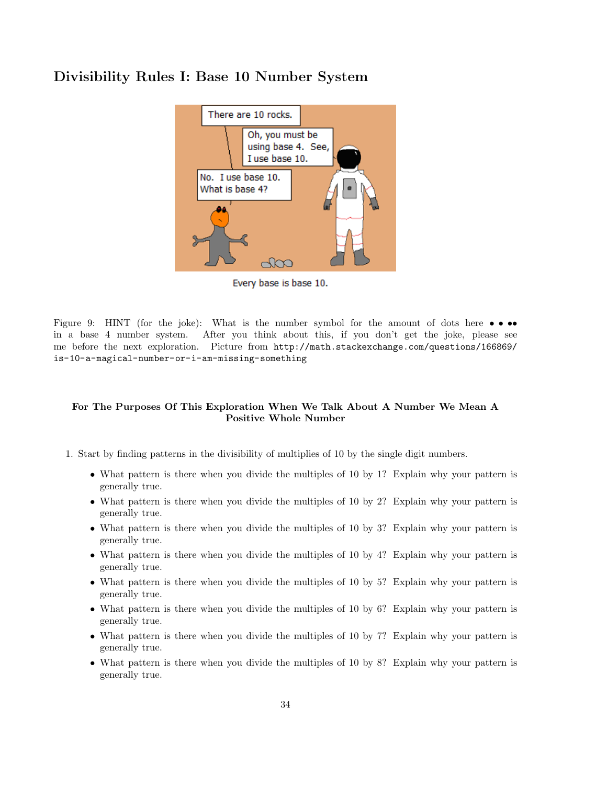## Divisibility Rules I: Base 10 Number System



Every base is base 10.

Figure 9: HINT (for the joke): What is the number symbol for the amount of dots here  $\bullet \bullet \bullet \bullet$ in a base 4 number system. After you think about this, if you don't get the joke, please see me before the next exploration. Picture from http://math.stackexchange.com/questions/166869/ is-10-a-magical-number-or-i-am-missing-something

## For The Purposes Of This Exploration When We Talk About A Number We Mean A Positive Whole Number

- 1. Start by finding patterns in the divisibility of multiplies of 10 by the single digit numbers.
	- What pattern is there when you divide the multiples of 10 by 1? Explain why your pattern is generally true.
	- What pattern is there when you divide the multiples of 10 by 2? Explain why your pattern is generally true.
	- What pattern is there when you divide the multiples of 10 by 3? Explain why your pattern is generally true.
	- What pattern is there when you divide the multiples of 10 by 4? Explain why your pattern is generally true.
	- What pattern is there when you divide the multiples of 10 by 5? Explain why your pattern is generally true.
	- What pattern is there when you divide the multiples of 10 by 6? Explain why your pattern is generally true.
	- What pattern is there when you divide the multiples of 10 by 7? Explain why your pattern is generally true.
	- What pattern is there when you divide the multiples of 10 by 8? Explain why your pattern is generally true.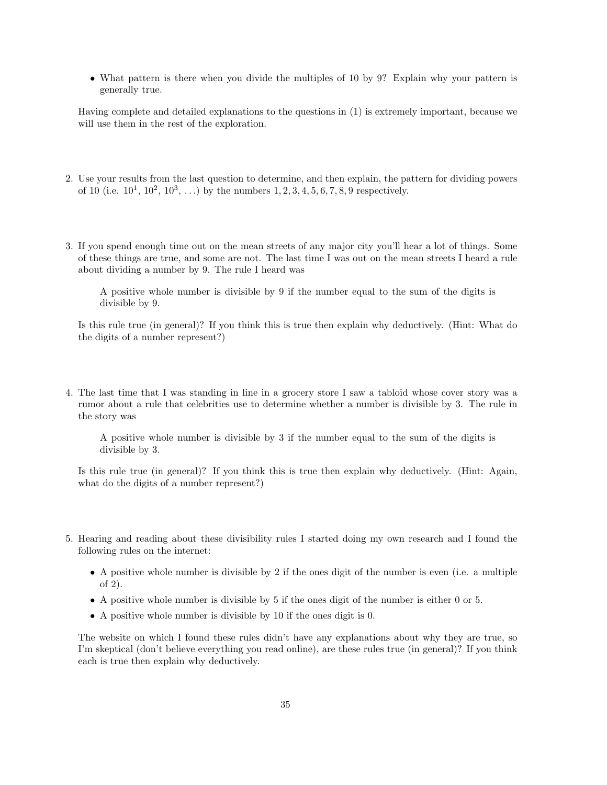• What pattern is there when you divide the multiples of 10 by 9? Explain why your pattern is generally true.

Having complete and detailed explanations to the questions in (1) is extremely important, because we will use them in the rest of the exploration.

- 2. Use your results from the last question to determine, and then explain, the pattern for dividing powers of 10 (i.e.  $10^1, 10^2, 10^3, \ldots$ ) by the numbers  $1, 2, 3, 4, 5, 6, 7, 8, 9$  respectively.
- 3. If you spend enough time out on the mean streets of any major city you'll hear a lot of things. Some of these things are true, and some are not. The last time I was out on the mean streets I heard a rule about dividing a number by 9. The rule I heard was

A positive whole number is divisible by 9 if the number equal to the sum of the digits is divisible by 9.

Is this rule true (in general)? If you think this is true then explain why deductively. (Hint: What do the digits of a number represent?)

4. The last time that I was standing in line in a grocery store I saw a tabloid whose cover story was a rumor about a rule that celebrities use to determine whether a number is divisible by 3. The rule in the story was

A positive whole number is divisible by 3 if the number equal to the sum of the digits is divisible by 3.

Is this rule true (in general)? If you think this is true then explain why deductively. (Hint: Again, what do the digits of a number represent?)

- 5. Hearing and reading about these divisibility rules I started doing my own research and I found the following rules on the internet:
	- A positive whole number is divisible by 2 if the ones digit of the number is even (i.e. a multiple of 2).
	- A positive whole number is divisible by 5 if the ones digit of the number is either 0 or 5.
	- A positive whole number is divisible by 10 if the ones digit is 0.

The website on which I found these rules didn't have any explanations about why they are true, so I'm skeptical (don't believe everything you read online), are these rules true (in general)? If you think each is true then explain why deductively.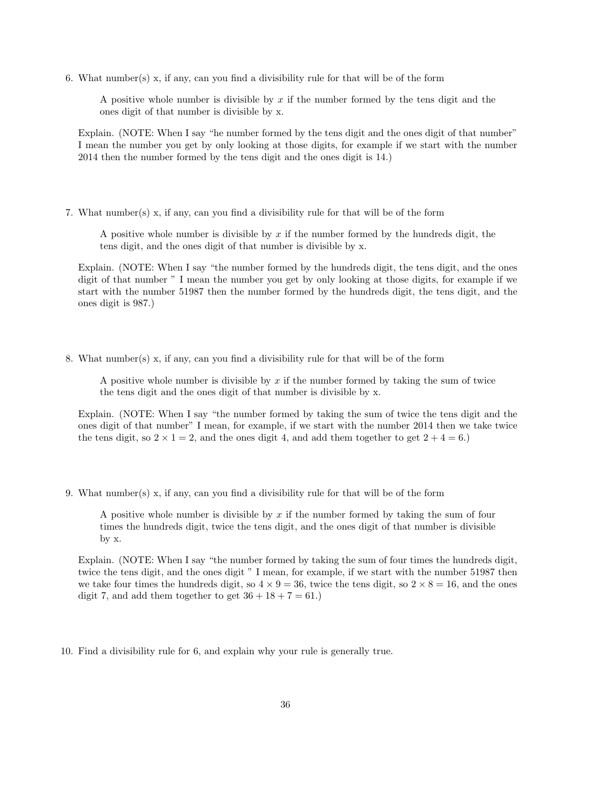6. What number(s) x, if any, can you find a divisibility rule for that will be of the form

A positive whole number is divisible by  $x$  if the number formed by the tens digit and the ones digit of that number is divisible by x.

Explain. (NOTE: When I say "he number formed by the tens digit and the ones digit of that number" I mean the number you get by only looking at those digits, for example if we start with the number 2014 then the number formed by the tens digit and the ones digit is 14.)

7. What number(s) x, if any, can you find a divisibility rule for that will be of the form

A positive whole number is divisible by  $x$  if the number formed by the hundreds digit, the tens digit, and the ones digit of that number is divisible by x.

Explain. (NOTE: When I say "the number formed by the hundreds digit, the tens digit, and the ones digit of that number " I mean the number you get by only looking at those digits, for example if we start with the number 51987 then the number formed by the hundreds digit, the tens digit, and the ones digit is 987.)

8. What number(s) x, if any, can you find a divisibility rule for that will be of the form

A positive whole number is divisible by  $x$  if the number formed by taking the sum of twice the tens digit and the ones digit of that number is divisible by x.

Explain. (NOTE: When I say "the number formed by taking the sum of twice the tens digit and the ones digit of that number" I mean, for example, if we start with the number 2014 then we take twice the tens digit, so  $2 \times 1 = 2$ , and the ones digit 4, and add them together to get  $2 + 4 = 6$ .

9. What number(s) x, if any, can you find a divisibility rule for that will be of the form

A positive whole number is divisible by x if the number formed by taking the sum of four times the hundreds digit, twice the tens digit, and the ones digit of that number is divisible by x.

Explain. (NOTE: When I say "the number formed by taking the sum of four times the hundreds digit, twice the tens digit, and the ones digit " I mean, for example, if we start with the number 51987 then we take four times the hundreds digit, so  $4 \times 9 = 36$ , twice the tens digit, so  $2 \times 8 = 16$ , and the ones digit 7, and add them together to get  $36 + 18 + 7 = 61$ .

10. Find a divisibility rule for 6, and explain why your rule is generally true.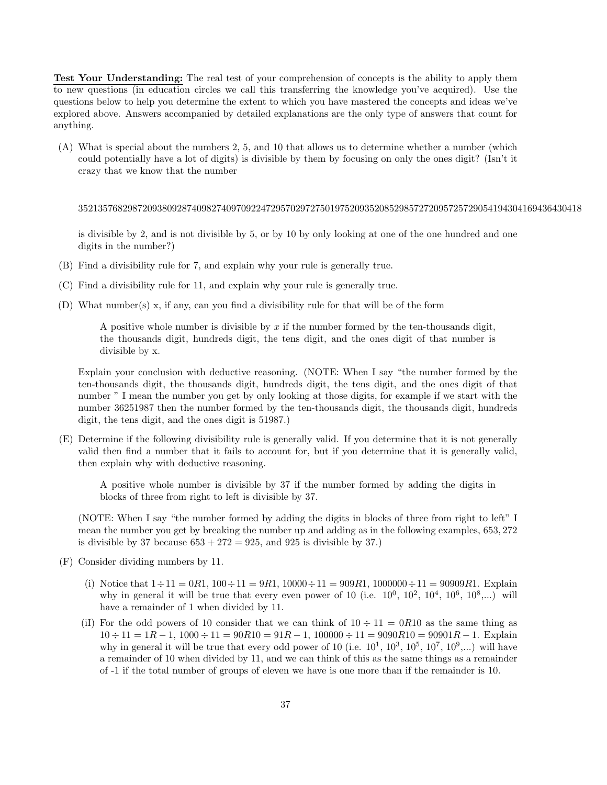Test Your Understanding: The real test of your comprehension of concepts is the ability to apply them to new questions (in education circles we call this transferring the knowledge you've acquired). Use the questions below to help you determine the extent to which you have mastered the concepts and ideas we've explored above. Answers accompanied by detailed explanations are the only type of answers that count for anything.

(A) What is special about the numbers 2, 5, and 10 that allows us to determine whether a number (which could potentially have a lot of digits) is divisible by them by focusing on only the ones digit? (Isn't it crazy that we know that the number

352135768298720938092874098274097092247295702972750197520935208529857272095725729054194304169436430418

is divisible by 2, and is not divisible by 5, or by 10 by only looking at one of the one hundred and one digits in the number?)

- (B) Find a divisibility rule for 7, and explain why your rule is generally true.
- (C) Find a divisibility rule for 11, and explain why your rule is generally true.
- (D) What number(s) x, if any, can you find a divisibility rule for that will be of the form

A positive whole number is divisible by x if the number formed by the ten-thousands digit, the thousands digit, hundreds digit, the tens digit, and the ones digit of that number is divisible by x.

Explain your conclusion with deductive reasoning. (NOTE: When I say "the number formed by the ten-thousands digit, the thousands digit, hundreds digit, the tens digit, and the ones digit of that number " I mean the number you get by only looking at those digits, for example if we start with the number 36251987 then the number formed by the ten-thousands digit, the thousands digit, hundreds digit, the tens digit, and the ones digit is 51987.)

(E) Determine if the following divisibility rule is generally valid. If you determine that it is not generally valid then find a number that it fails to account for, but if you determine that it is generally valid, then explain why with deductive reasoning.

A positive whole number is divisible by 37 if the number formed by adding the digits in blocks of three from right to left is divisible by 37.

(NOTE: When I say "the number formed by adding the digits in blocks of three from right to left" I mean the number you get by breaking the number up and adding as in the following examples, 653, 272 is divisible by 37 because  $653 + 272 = 925$ , and  $925$  is divisible by 37.)

- (F) Consider dividing numbers by 11.
	- (i) Notice that  $1 \div 11 = 0R1$ ,  $100 \div 11 = 9R1$ ,  $10000 \div 11 = 909R1$ ,  $1000000 \div 11 = 90909R1$ . Explain why in general it will be true that every even power of 10 (i.e.  $10^0$ ,  $10^2$ ,  $10^4$ ,  $10^6$ ,  $10^8$ ,...) will have a remainder of 1 when divided by 11.
	- (iI) For the odd powers of 10 consider that we can think of  $10 \div 11 = 0R10$  as the same thing as  $10 \div 11 = 1R - 1$ ,  $1000 \div 11 = 90R - 1$ ,  $100000 \div 11 = 9090R - 1$ . Explain why in general it will be true that every odd power of 10 (i.e.  $10^1$ ,  $10^3$ ,  $10^5$ ,  $10^7$ ,  $10^9$ ,...) will have a remainder of 10 when divided by 11, and we can think of this as the same things as a remainder of -1 if the total number of groups of eleven we have is one more than if the remainder is 10.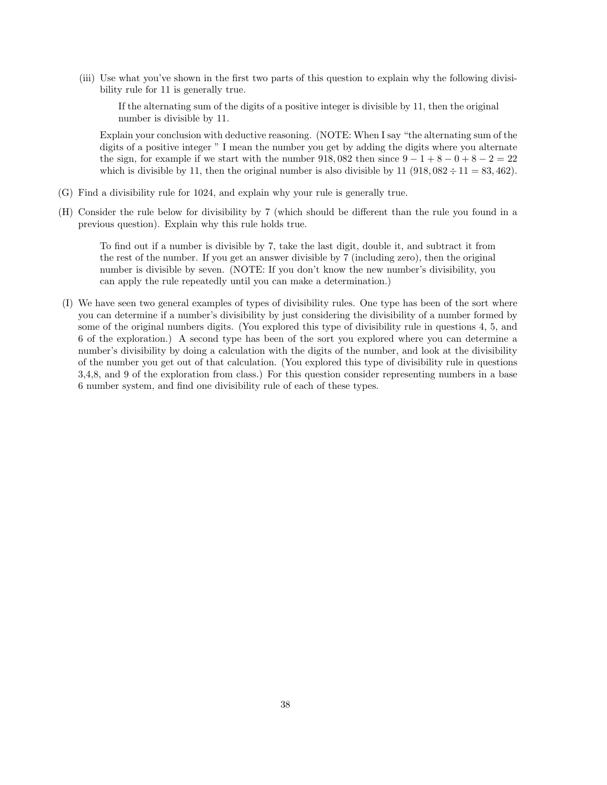(iii) Use what you've shown in the first two parts of this question to explain why the following divisibility rule for 11 is generally true.

If the alternating sum of the digits of a positive integer is divisible by 11, then the original number is divisible by 11.

Explain your conclusion with deductive reasoning. (NOTE: When I say "the alternating sum of the digits of a positive integer " I mean the number you get by adding the digits where you alternate the sign, for example if we start with the number  $918,082$  then since  $9-1+8-0+8-2=22$ which is divisible by 11, then the original number is also divisible by 11 (918,  $082 \div 11 = 83,462$ ).

- (G) Find a divisibility rule for 1024, and explain why your rule is generally true.
- (H) Consider the rule below for divisibility by 7 (which should be different than the rule you found in a previous question). Explain why this rule holds true.

To find out if a number is divisible by 7, take the last digit, double it, and subtract it from the rest of the number. If you get an answer divisible by 7 (including zero), then the original number is divisible by seven. (NOTE: If you don't know the new number's divisibility, you can apply the rule repeatedly until you can make a determination.)

(I) We have seen two general examples of types of divisibility rules. One type has been of the sort where you can determine if a number's divisibility by just considering the divisibility of a number formed by some of the original numbers digits. (You explored this type of divisibility rule in questions 4, 5, and 6 of the exploration.) A second type has been of the sort you explored where you can determine a number's divisibility by doing a calculation with the digits of the number, and look at the divisibility of the number you get out of that calculation. (You explored this type of divisibility rule in questions 3,4,8, and 9 of the exploration from class.) For this question consider representing numbers in a base 6 number system, and find one divisibility rule of each of these types.